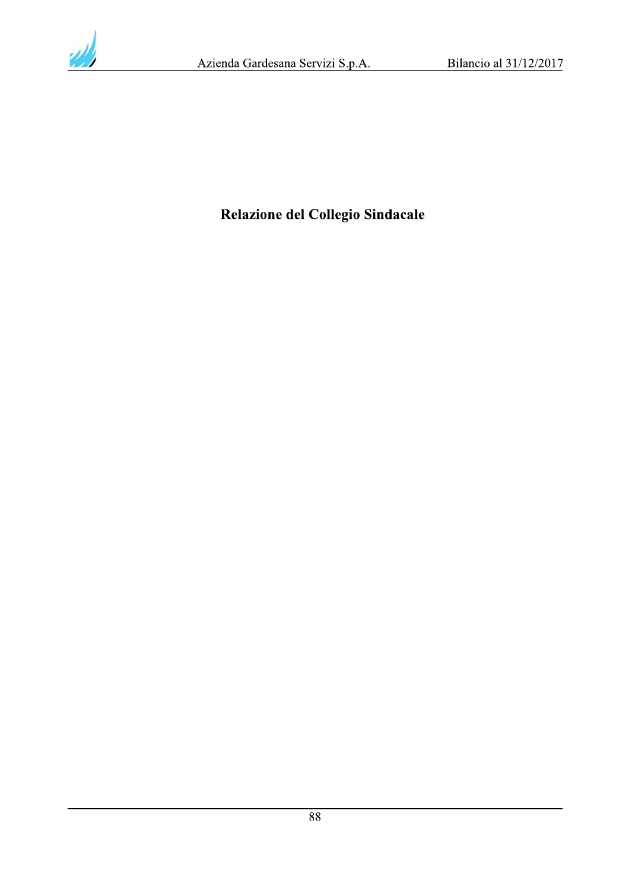

# Relazione del Collegio Sindacale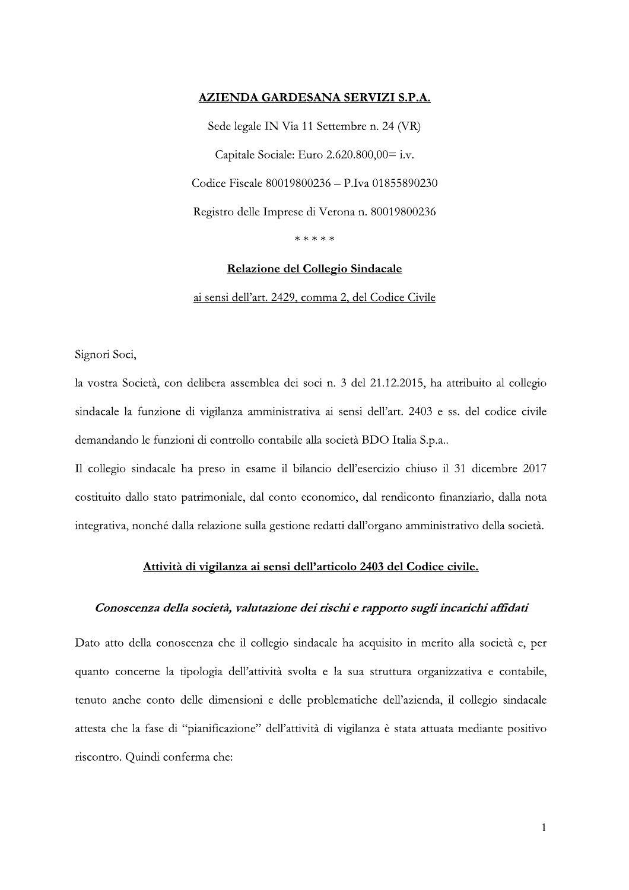### AZIENDA GARDESANA SERVIZI S.P.A.

Sede legale IN Via 11 Settembre n. 24 (VR) Capitale Sociale: Euro 2.620.800,00= i.v. Codice Fiscale 80019800236 - P.Iva 01855890230 Registro delle Imprese di Verona n. 80019800236 \*\*\*\*\*

# Relazione del Collegio Sindacale

ai sensi dell'art. 2429, comma 2, del Codice Civile

Signori Soci,

la vostra Società, con delibera assemblea dei soci n. 3 del 21.12.2015, ha attribuito al collegio sindacale la funzione di vigilanza amministrativa ai sensi dell'art. 2403 e ss. del codice civile demandando le funzioni di controllo contabile alla società BDO Italia S.p.a..

Il collegio sindacale ha preso in esame il bilancio dell'esercizio chiuso il 31 dicembre 2017 costituito dallo stato patrimoniale, dal conto economico, dal rendiconto finanziario, dalla nota integrativa, nonché dalla relazione sulla gestione redatti dall'organo amministrativo della società.

#### Attività di vigilanza ai sensi dell'articolo 2403 del Codice civile.

#### Conoscenza della società, valutazione dei rischi e rapporto sugli incarichi affidati

Dato atto della conoscenza che il collegio sindacale ha acquisito in merito alla società e, per quanto concerne la tipologia dell'attività svolta e la sua struttura organizzativa e contabile, tenuto anche conto delle dimensioni e delle problematiche dell'azienda, il collegio sindacale attesta che la fase di "pianificazione" dell'attività di vigilanza è stata attuata mediante positivo riscontro. Quindi conferma che: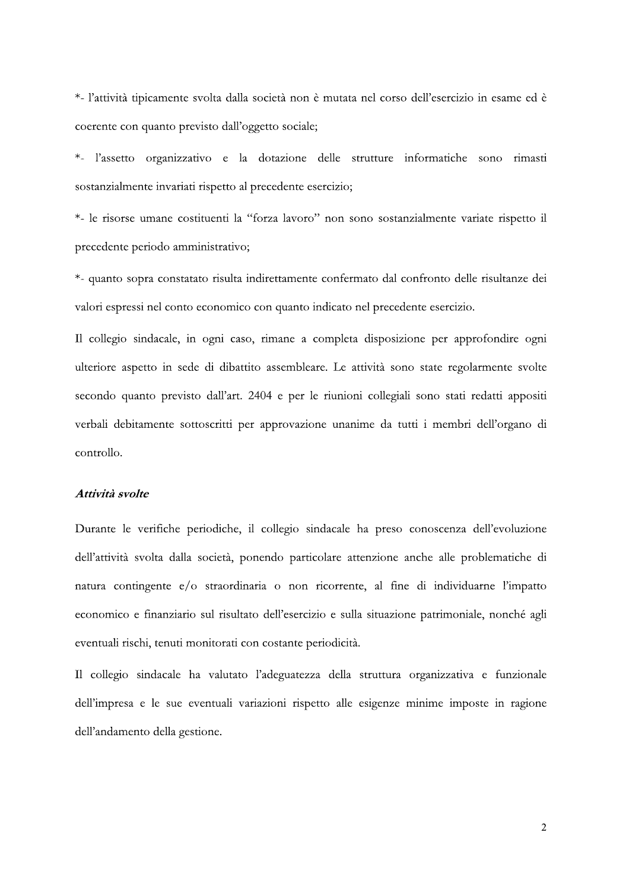\*- l'attività tipicamente svolta dalla società non è mutata nel corso dell'esercizio in esame ed è coerente con quanto previsto dall'oggetto sociale;

\*- l'assetto organizzativo e la dotazione delle strutture informatiche sono rimasti sostanzialmente invariati rispetto al precedente esercizio;

\*- le risorse umane costituenti la "forza lavoro" non sono sostanzialmente variate rispetto il precedente periodo amministrativo;

\*- quanto sopra constatato risulta indirettamente confermato dal confronto delle risultanze dei valori espressi nel conto economico con quanto indicato nel precedente esercizio.

Il collegio sindacale, in ogni caso, rimane a completa disposizione per approfondire ogni ulteriore aspetto in sede di dibattito assembleare. Le attività sono state regolarmente svolte secondo quanto previsto dall'art. 2404 e per le riunioni collegiali sono stati redatti appositi verbali debitamente sottoscritti per approvazione unanime da tutti i membri dell'organo di controllo.

### Attività svolte

Durante le verifiche periodiche, il collegio sindacale ha preso conoscenza dell'evoluzione dell'attività svolta dalla società, ponendo particolare attenzione anche alle problematiche di natura contingente e/o straordinaria o non ricorrente, al fine di individuarne l'impatto economico e finanziario sul risultato dell'esercizio e sulla situazione patrimoniale, nonché agli eventuali rischi, tenuti monitorati con costante periodicità.

Il collegio sindacale ha valutato l'adeguatezza della struttura organizzativa e funzionale dell'impresa e le sue eventuali variazioni rispetto alle esigenze minime imposte in ragione dell'andamento della gestione.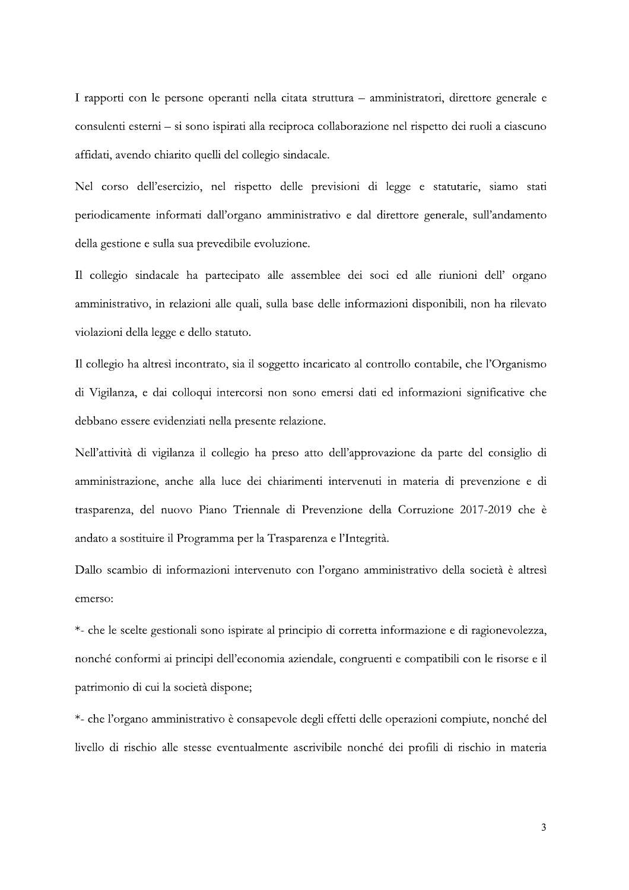I rapporti con le persone operanti nella citata struttura - amministratori, direttore generale e consulenti esterni - si sono ispirati alla reciproca collaborazione nel rispetto dei ruoli a ciascuno affidati, avendo chiarito quelli del collegio sindacale.

Nel corso dell'esercizio, nel rispetto delle previsioni di legge e statutarie, siamo stati periodicamente informati dall'organo amministrativo e dal direttore generale, sull'andamento della gestione e sulla sua prevedibile evoluzione.

Il collegio sindacale ha partecipato alle assemblee dei soci ed alle riunioni dell' organo amministrativo, in relazioni alle quali, sulla base delle informazioni disponibili, non ha rilevato violazioni della legge e dello statuto.

Il collegio ha altresì incontrato, sia il soggetto incaricato al controllo contabile, che l'Organismo di Vigilanza, e dai colloqui intercorsi non sono emersi dati ed informazioni significative che debbano essere evidenziati nella presente relazione.

Nell'attività di vigilanza il collegio ha preso atto dell'approvazione da parte del consiglio di amministrazione, anche alla luce dei chiarimenti intervenuti in materia di prevenzione e di trasparenza, del nuovo Piano Triennale di Prevenzione della Corruzione 2017-2019 che è andato a sostituire il Programma per la Trasparenza e l'Integrità.

Dallo scambio di informazioni intervenuto con l'organo amministrativo della società è altresì emerso:

\*- che le scelte gestionali sono ispirate al principio di corretta informazione e di ragionevolezza, nonché conformi ai principi dell'economia aziendale, congruenti e compatibili con le risorse e il patrimonio di cui la società dispone;

\*- che l'organo amministrativo è consapevole degli effetti delle operazioni compiute, nonché del livello di rischio alle stesse eventualmente ascrivibile nonché dei profili di rischio in materia

3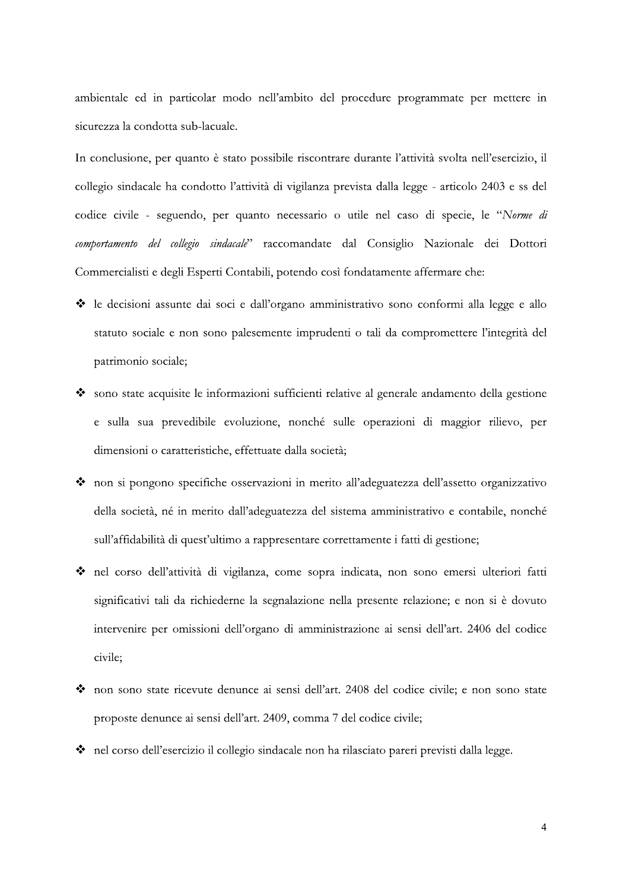ambientale ed in particolar modo nell'ambito del procedure programmate per mettere in sicurezza la condotta sub-lacuale.

In conclusione, per quanto è stato possibile riscontrare durante l'attività svolta nell'esercizio, il collegio sindacale ha condotto l'attività di vigilanza prevista dalla legge - articolo 2403 e ss del codice civile - seguendo, per quanto necessario o utile nel caso di specie, le "Norme di comportamento del collegio sindacale" raccomandate dal Consiglio Nazionale dei Dottori Commercialisti e degli Esperti Contabili, potendo così fondatamente affermare che:

- Le decisioni assunte dai soci e dall'organo amministrativo sono conformi alla legge e allo statuto sociale e non sono palesemente imprudenti o tali da compromettere l'integrità del patrimonio sociale;
- Sono state acquisite le informazioni sufficienti relative al generale andamento della gestione e sulla sua prevedibile evoluzione, nonché sulle operazioni di maggior rilievo, per dimensioni o caratteristiche, effettuate dalla società;
- non si pongono specifiche osservazioni in merito all'adeguatezza dell'assetto organizzativo della società, né in merito dall'adeguatezza del sistema amministrativo e contabile, nonché sull'affidabilità di quest'ultimo a rappresentare correttamente i fatti di gestione;
- nel corso dell'attività di vigilanza, come sopra indicata, non sono emersi ulteriori fatti significativi tali da richiederne la segnalazione nella presente relazione; e non si è dovuto intervenire per omissioni dell'organo di amministrazione ai sensi dell'art. 2406 del codice civile:
- \* non sono state ricevute denunce ai sensi dell'art. 2408 del codice civile; e non sono state proposte denunce ai sensi dell'art. 2409, comma 7 del codice civile;
- A nel corso dell'esercizio il collegio sindacale non ha rilasciato pareri previsti dalla legge.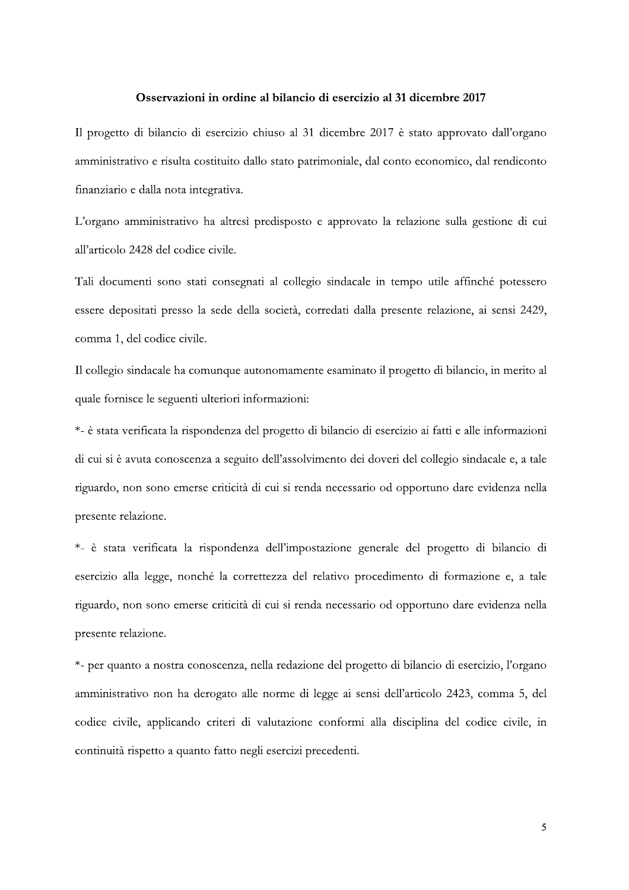### Osservazioni in ordine al bilancio di esercizio al 31 dicembre 2017

Il progetto di bilancio di esercizio chiuso al 31 dicembre 2017 è stato approvato dall'organo amministrativo e risulta costituito dallo stato patrimoniale, dal conto economico, dal rendiconto finanziario e dalla nota integrativa.

L'organo amministrativo ha altresì predisposto e approvato la relazione sulla gestione di cui all'articolo 2428 del codice civile.

Tali documenti sono stati consegnati al collegio sindacale in tempo utile affinché potessero essere depositati presso la sede della società, corredati dalla presente relazione, ai sensi 2429, comma 1, del codice civile.

Il collegio sindacale ha comunque autonomamente esaminato il progetto di bilancio, in merito al quale fornisce le seguenti ulteriori informazioni:

\*- è stata verificata la rispondenza del progetto di bilancio di esercizio ai fatti e alle informazioni di cui si è avuta conoscenza a seguito dell'assolvimento dei doveri del collegio sindacale e, a tale riguardo, non sono emerse criticità di cui si renda necessario od opportuno dare evidenza nella presente relazione.

\*- è stata verificata la rispondenza dell'impostazione generale del progetto di bilancio di esercizio alla legge, nonché la correttezza del relativo procedimento di formazione e, a tale riguardo, non sono emerse criticità di cui si renda necessario od opportuno dare evidenza nella presente relazione.

\*- per quanto a nostra conoscenza, nella redazione del progetto di bilancio di esercizio, l'organo amministrativo non ha derogato alle norme di legge ai sensi dell'articolo 2423, comma 5, del codice civile, applicando criteri di valutazione conformi alla disciplina del codice civile, in continuità rispetto a quanto fatto negli esercizi precedenti.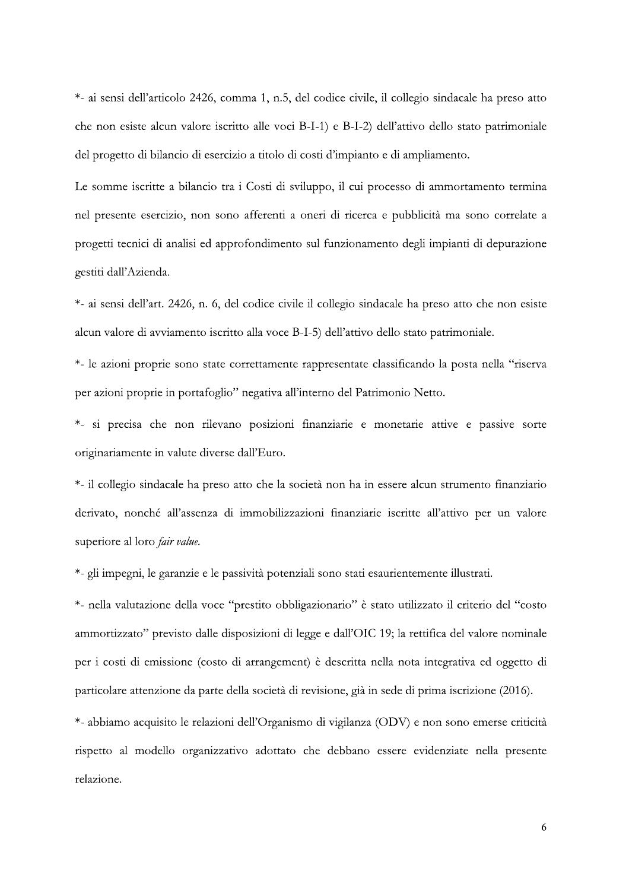\*- ai sensi dell'articolo 2426, comma 1, n.5, del codice civile, il collegio sindacale ha preso atto che non esiste alcun valore iscritto alle voci B-I-1) e B-I-2) dell'attivo dello stato patrimoniale del progetto di bilancio di esercizio a titolo di costi d'impianto e di ampliamento.

Le somme iscritte a bilancio tra i Costi di sviluppo, il cui processo di ammortamento termina nel presente esercizio, non sono afferenti a oneri di ricerca e pubblicità ma sono correlate a progetti tecnici di analisi ed approfondimento sul funzionamento degli impianti di depurazione gestiti dall'Azienda.

\*- ai sensi dell'art. 2426, n. 6, del codice civile il collegio sindacale ha preso atto che non esiste alcun valore di avviamento iscritto alla voce B-I-5) dell'attivo dello stato patrimoniale.

\*- le azioni proprie sono state correttamente rappresentate classificando la posta nella "riserva" per azioni proprie in portafoglio" negativa all'interno del Patrimonio Netto.

\*- si precisa che non rilevano posizioni finanziarie e monetarie attive e passive sorte originariamente in valute diverse dall'Euro.

\*- il collegio sindacale ha preso atto che la società non ha in essere alcun strumento finanziario derivato, nonché all'assenza di immobilizzazioni finanziarie iscritte all'attivo per un valore superiore al loro *fair value*.

\*- gli impegni, le garanzie e le passività potenziali sono stati esaurientemente illustrati.

\*- nella valutazione della voce "prestito obbligazionario" è stato utilizzato il criterio del "costo ammortizzato" previsto dalle disposizioni di legge e dall'OIC 19; la rettifica del valore nominale per i costi di emissione (costo di arrangement) è descritta nella nota integrativa ed oggetto di particolare attenzione da parte della società di revisione, già in sede di prima iscrizione (2016).

\*- abbiamo acquisito le relazioni dell'Organismo di vigilanza (ODV) e non sono emerse criticità rispetto al modello organizzativo adottato che debbano essere evidenziate nella presente relazione.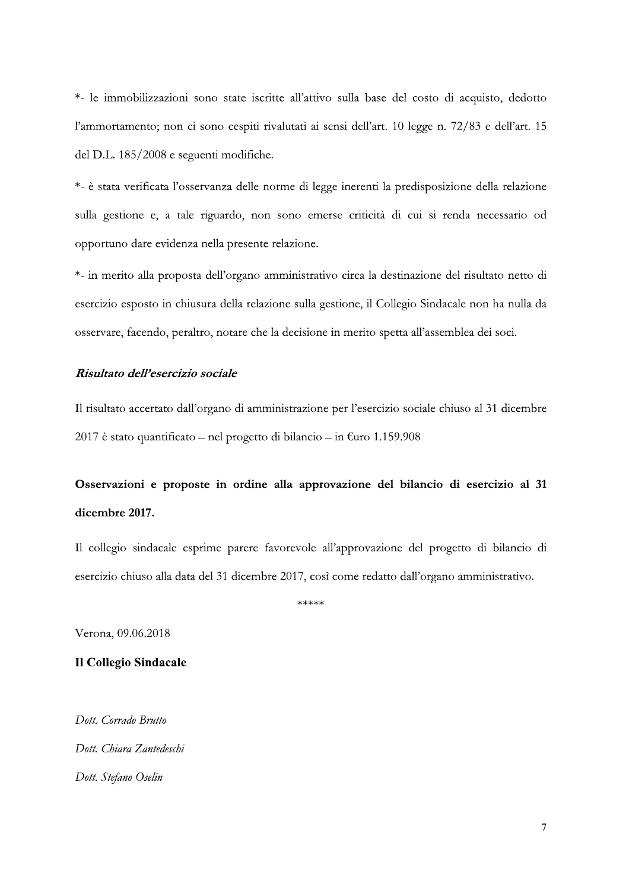\*- le immobilizzazioni sono state iscritte all'attivo sulla base del costo di acquisto, dedotto l'ammortamento; non ci sono cespiti rivalutati ai sensi dell'art. 10 legge n. 72/83 e dell'art. 15 del D.L. 185/2008 e seguenti modifiche.

\*- è stata verificata l'osservanza delle norme di legge inerenti la predisposizione della relazione sulla gestione e, a tale riguardo, non sono emerse criticità di cui si renda necessario od opportuno dare evidenza nella presente relazione.

\*- in merito alla proposta dell'organo amministrativo circa la destinazione del risultato netto di esercizio esposto in chiusura della relazione sulla gestione, il Collegio Sindacale non ha nulla da osservare, facendo, peraltro, notare che la decisione in merito spetta all'assemblea dei soci.

## Risultato dell'esercizio sociale

Il risultato accertato dall'organo di amministrazione per l'esercizio sociale chiuso al 31 dicembre 2017 è stato quantificato – nel progetto di bilancio – in  $\epsilon$ uro 1.159.908

# Osservazioni e proposte in ordine alla approvazione del bilancio di esercizio al 31 dicembre 2017.

Il collegio sindacale esprime parere favorevole all'approvazione del progetto di bilancio di esercizio chiuso alla data del 31 dicembre 2017, così come redatto dall'organo amministrativo.

\*\*\*\*\*

Verona, 09.06.2018

# **Il Collegio Sindacale**

Dott. Corrado Brutto Dott, Chiara Zantedeschi Dott. Stefano Oselin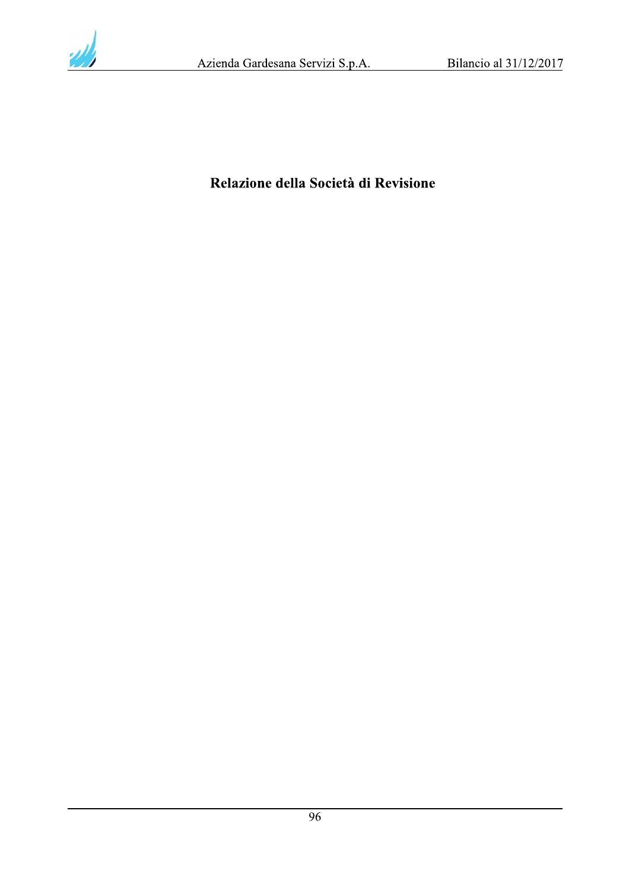

# Relazione della Società di Revisione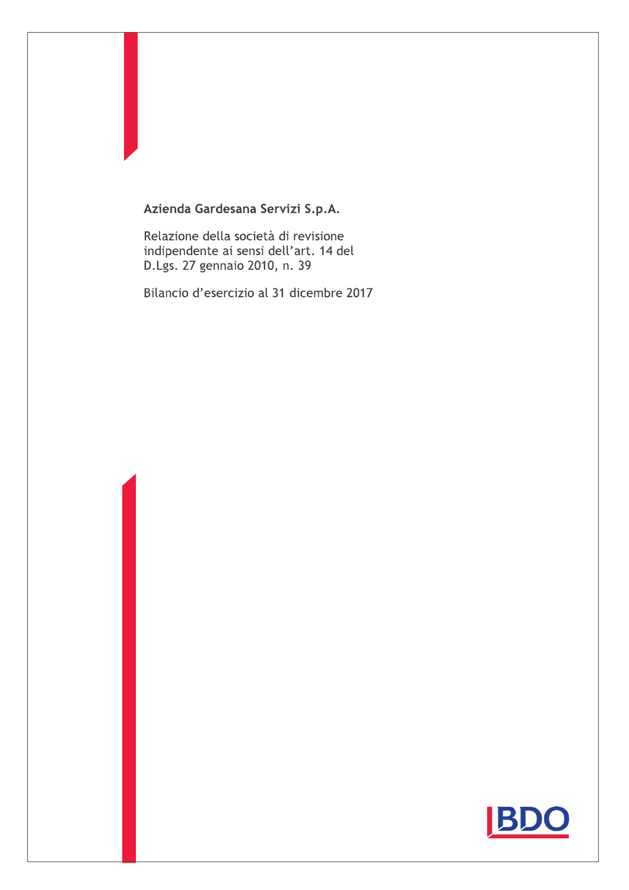# Azienda Gardesana Servizi S.p.A.

Relazione della società di revisione indipendente ai sensi dell'art. 14 del D.Lgs. 27 gennaio 2010, n. 39

Bilancio d'esercizio al 31 dicembre 2017

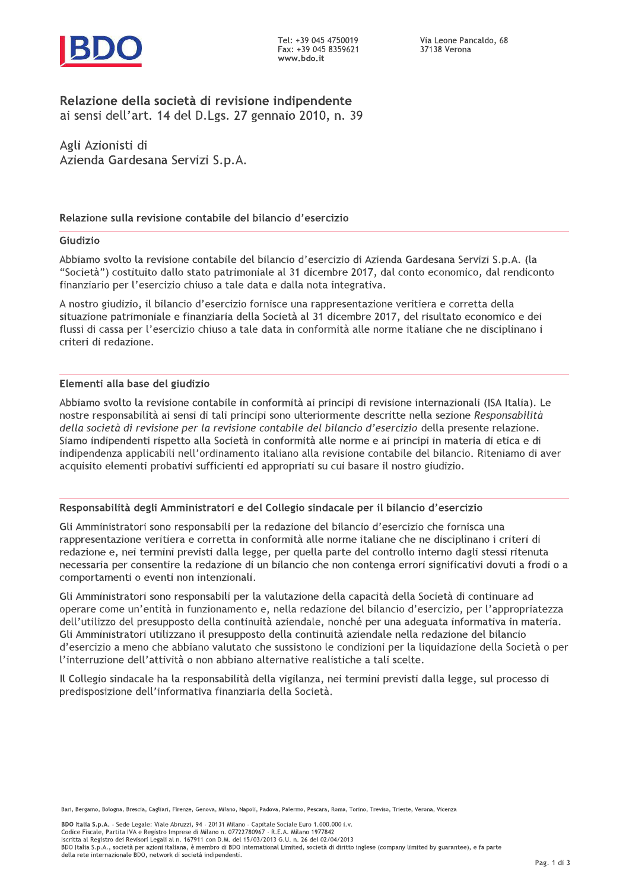

# Relazione della società di revisione indipendente

ai sensi dell'art. 14 del D.Lgs. 27 gennaio 2010, n. 39

Agli Azionisti di Azienda Gardesana Servizi S.p.A.

# Relazione sulla revisione contabile del bilancio d'esercizio

### Giudizio

Abbiamo svolto la revisione contabile del bilancio d'esercizio di Azienda Gardesana Servizi S.p.A. (la "Società") costituito dallo stato patrimoniale al 31 dicembre 2017, dal conto economico, dal rendiconto finanziario per l'esercizio chiuso a tale data e dalla nota integrativa.

A nostro giudizio, il bilancio d'esercizio fornisce una rappresentazione veritiera e corretta della situazione patrimoniale e finanziaria della Società al 31 dicembre 2017, del risultato economico e dei flussi di cassa per l'esercizio chiuso a tale data in conformità alle norme italiane che ne disciplinano i criteri di redazione.

### Elementi alla base del giudizio

Abbiamo svolto la revisione contabile in conformità ai principi di revisione internazionali (ISA Italia). Le nostre responsabilità ai sensi di tali principi sono ulteriormente descritte nella sezione Responsabilità della società di revisione per la revisione contabile del bilancio d'esercizio della presente relazione. Siamo indipendenti rispetto alla Società in conformità alle norme e ai principi in materia di etica e di indipendenza applicabili nell'ordinamento italiano alla revisione contabile del bilancio. Riteniamo di aver acquisito elementi probativi sufficienti ed appropriati su cui basare il nostro giudizio.

### Responsabilità degli Amministratori e del Collegio sindacale per il bilancio d'esercizio

Gli Amministratori sono responsabili per la redazione del bilancio d'esercizio che fornisca una rappresentazione veritiera e corretta in conformità alle norme italiane che ne disciplinano i criteri di redazione e, nei termini previsti dalla legge, per quella parte del controllo interno dagli stessi ritenuta necessaria per consentire la redazione di un bilancio che non contenga errori significativi dovuti a frodi o a comportamenti o eventi non intenzionali.

Gli Amministratori sono responsabili per la valutazione della capacità della Società di continuare ad operare come un'entità in funzionamento e, nella redazione del bilancio d'esercizio, per l'appropriatezza dell'utilizzo del presupposto della continuità aziendale, nonché per una adeguata informativa in materia. Gli Amministratori utilizzano il presupposto della continuità aziendale nella redazione del bilancio d'esercizio a meno che abbiano valutato che sussistono le condizioni per la liquidazione della Società o per l'interruzione dell'attività o non abbiano alternative realistiche a tali scelte.

Il Collegio sindacale ha la responsabilità della vigilanza, nei termini previsti dalla legge, sul processo di predisposizione dell'informativa finanziaria della Società.

Bari, Bergamo, Bologna, Brescia, Cagliari, Firenze, Genova, Milano, Napoli, Padova, Palermo, Pescara, Roma, Torino, Treviso, Trieste, Verona, Vicenza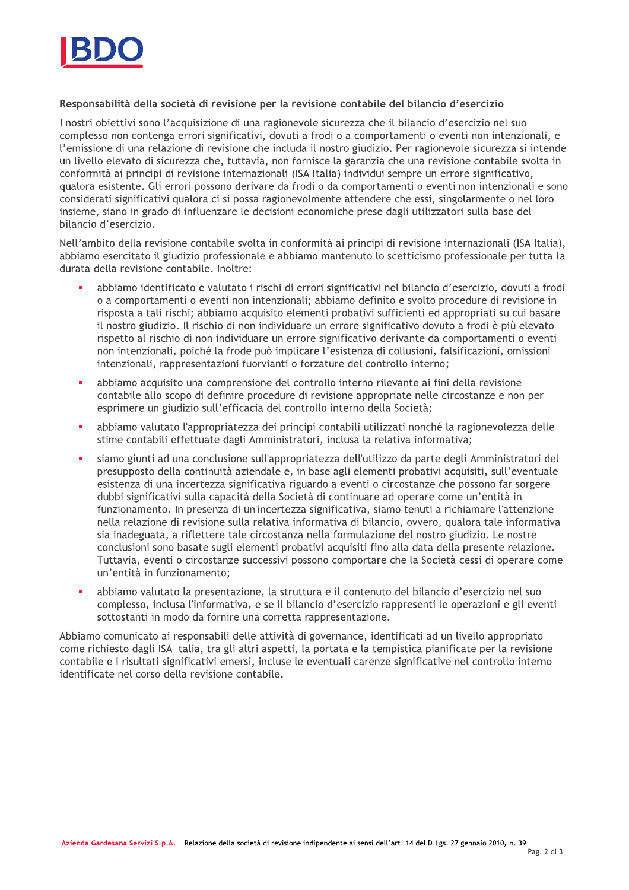

#### Responsabilità della società di revisione per la revisione contabile del bilancio d'esercizio

I nostri obiettivi sono l'acquisizione di una ragionevole sicurezza che il bilancio d'esercizio nel suo complesso non contenga errori significativi, dovuti a frodi o a comportamenti o eventi non intenzionali, e l'emissione di una relazione di revisione che includa il nostro giudizio. Per ragionevole sicurezza si intende un livello elevato di sicurezza che, tuttavia, non fornisce la garanzia che una revisione contabile svolta in conformità ai principi di revisione internazionali (ISA Italia) individui sempre un errore significativo, gualora esistente. Gli errori possono derivare da frodi o da comportamenti o eventi non intenzionali e sono considerati significativi qualora ci si possa ragionevolmente attendere che essi, singolarmente o nel loro insieme, siano in grado di influenzare le decisioni economiche prese dagli utilizzatori sulla base del bilancio d'esercizio.

Nell'ambito della revisione contabile svolta in conformità ai principi di revisione internazionali (ISA Italia), abbiamo esercitato il giudizio professionale e abbiamo mantenuto lo scetticismo professionale per tutta la durata della revisione contabile. Inoltre:

- abbiamo identificato e valutato i rischi di errori significativi nel bilancio d'esercizio, dovuti a frodi o a comportamenti o eventi non intenzionali: abbiamo definito e svolto procedure di revisione in risposta a tali rischi; abbiamo acquisito elementi probativi sufficienti ed appropriati su cui basare il nostro giudizio. Il rischio di non individuare un errore significativo dovuto a frodi è più elevato rispetto al rischio di non individuare un errore significativo derivante da comportamenti o eventi non intenzionali, poiché la frode può implicare l'esistenza di collusioni, falsificazioni, omissioni intenzionali, rappresentazioni fuorvianti o forzature del controllo interno;
- **•** abbiamo acquisito una comprensione del controllo interno rilevante ai fini della revisione contabile allo scopo di definire procedure di revisione appropriate nelle circostanze e non per esprimere un giudizio sull'efficacia del controllo interno della Società;
- abbiamo valutato l'appropriatezza dei principi contabili utilizzati nonché la ragionevolezza delle stime contabili effettuate dagli Amministratori, inclusa la relativa informativa;
- posiamo giunti ad una conclusione sull'appropriatezza dell'utilizzo da parte degli Amministratori del presupposto della continuità aziendale e, in base agli elementi probativi acquisiti, sull'eventuale esistenza di una incertezza significativa riguardo a eventi o circostanze che possono far sorgere dubbi significativi sulla capacità della Società di continuare ad operare come un'entità in funzionamento. In presenza di un'incertezza significativa, siamo tenuti a richiamare l'attenzione nella relazione di revisione sulla relativa informativa di bilancio, ovvero, qualora tale informativa sia inadeguata, a riflettere tale circostanza nella formulazione del nostro giudizio. Le nostre conclusioni sono basate sugli elementi probativi acquisiti fino alla data della presente relazione. Tuttavia, eventi o circostanze successivi possono comportare che la Società cessi di operare come un'entità in funzionamento:
- abbiamo valutato la presentazione, la struttura e il contenuto del bilancio d'esercizio nel suo complesso, inclusa l'informativa, e se il bilancio d'esercizio rappresenti le operazioni e gli eventi sottostanti in modo da fornire una corretta rappresentazione.

Abbiamo comunicato ai responsabili delle attività di governance, identificati ad un livello appropriato come richiesto dagli ISA Italia, tra gli altri aspetti, la portata e la tempistica pianificate per la revisione contabile e i risultati significativi emersi, incluse le eventuali carenze significative nel controllo interno identificate nel corso della revisione contabile.